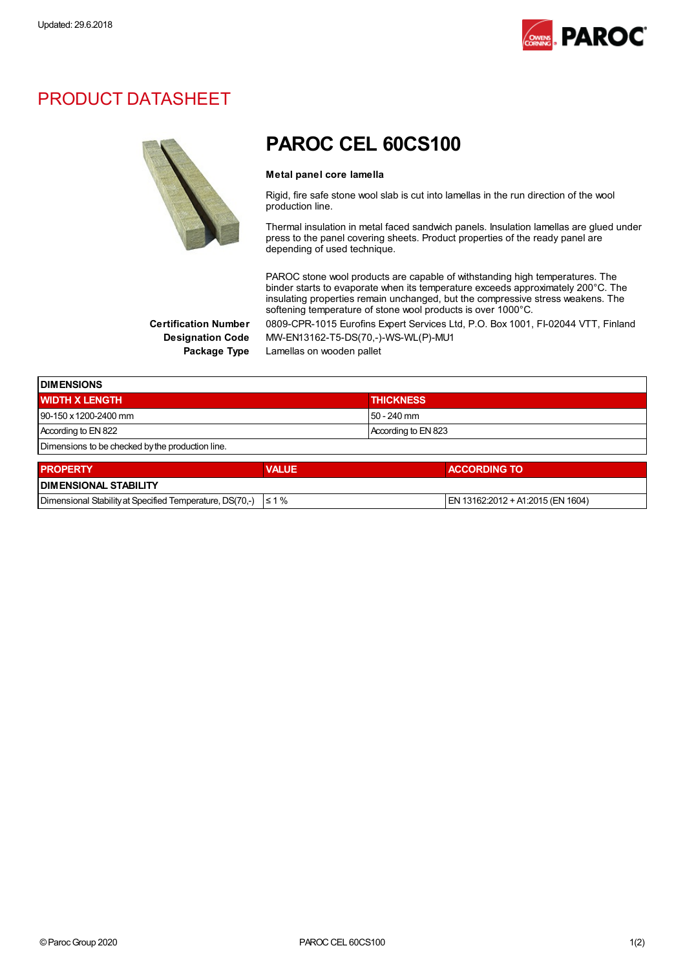

### PRODUCT DATASHEET



## PAROC CEL 60CS100

#### Metal panel core lamella

Rigid, fire safe stone wool slab is cut into lamellas in the run direction of the wool production line.

Thermal insulation in metal faced sandwich panels. Insulation lamellas are glued under press to the panel covering sheets. Product properties of the ready panel are depending of used technique.

PAROC stone wool products are capable of withstanding high temperatures. The binder starts to evaporate when its temperature exceeds approximately 200°C. The insulating properties remain unchanged, but the compressive stress weakens. The softening temperature of stone wool products is over 1000°C.

Certification Number 0809-CPR-1015 Eurofins Expert Services Ltd, P.O. Box 1001, FI-02044 VTT, Finland Designation Code MW-EN13162-T5-DS(70,-)-WS-WL(P)-MU1

Package Type Lamellas on wooden pallet

| <b>IDIMENSIONS</b>                               |                     |  |
|--------------------------------------------------|---------------------|--|
| <b>WIDTH X LENGTH</b>                            | <b>THICKNESS</b>    |  |
| 90-150 x 1200-2400 mm                            | $150 - 240$ mm      |  |
| According to EN 822                              | According to EN 823 |  |
| Dimensions to be checked by the production line. |                     |  |

| <b>PROPERTY</b>                                                     | <b>VALUE</b> | <b>ACCORDING TO</b>                  |  |
|---------------------------------------------------------------------|--------------|--------------------------------------|--|
| <b>IDIMENSIONAL STABILITY</b>                                       |              |                                      |  |
| Dimensional Stability at Specified Temperature, DS(70,-) $\leq 1\%$ |              | $ EN 13162:2012 + A1:2015$ (EN 1604) |  |